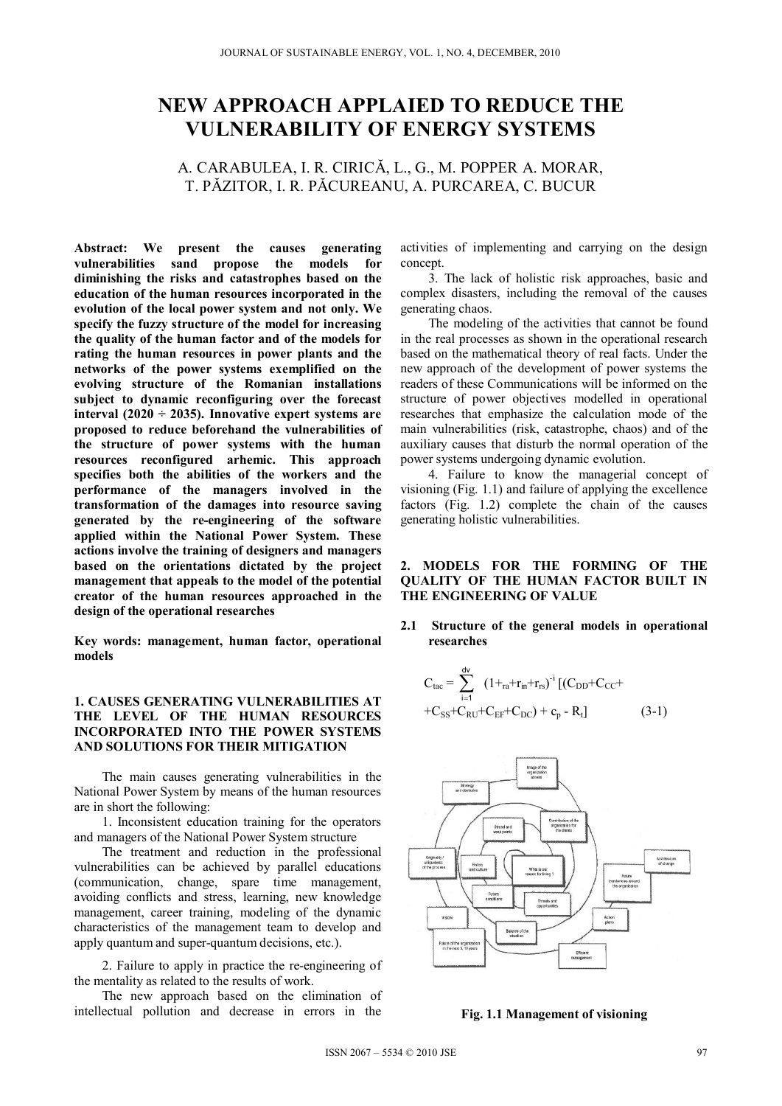# **NEW APPROACH APPLAIED TO REDUCE THE VULNERABILITY OF ENERGY SYSTEMS**

## A. CARABULEA, I. R. CIRICĂ, L., G., M. POPPER A. MORAR, T. PĂZITOR, I. R. PĂCUREANU, A. PURCAREA, C. BUCUR

**Abstract: We present the causes generating vulnerabilities sand propose the models for diminishing the risks and catastrophes based on the education of the human resources incorporated in the evolution of the local power system and not only. We specify the fuzzy structure of the model for increasing the quality of the human factor and of the models for rating the human resources in power plants and the networks of the power systems exemplified on the evolving structure of the Romanian installations subject to dynamic reconfiguring over the forecast interval (2020 ÷ 2035). Innovative expert systems are proposed to reduce beforehand the vulnerabilities of the structure of power systems with the human resources reconfigured arhemic. This approach specifies both the abilities of the workers and the performance of the managers involved in the transformation of the damages into resource saving generated by the re-engineering of the software applied within the National Power System. These actions involve the training of designers and managers based on the orientations dictated by the project management that appeals to the model of the potential creator of the human resources approached in the design of the operational researches** 

**Key words: management, human factor, operational models** 

### **1. CAUSES GENERATING VULNERABILITIES AT THE LEVEL OF THE HUMAN RESOURCES INCORPORATED INTO THE POWER SYSTEMS AND SOLUTIONS FOR THEIR MITIGATION**

The main causes generating vulnerabilities in the National Power System by means of the human resources are in short the following:

1. Inconsistent education training for the operators and managers of the National Power System structure

The treatment and reduction in the professional vulnerabilities can be achieved by parallel educations (communication, change, spare time management, avoiding conflicts and stress, learning, new knowledge management, career training, modeling of the dynamic characteristics of the management team to develop and apply quantum and super-quantum decisions, etc.).

2. Failure to apply in practice the re-engineering of the mentality as related to the results of work.

The new approach based on the elimination of intellectual pollution and decrease in errors in the

activities of implementing and carrying on the design concept.

3. The lack of holistic risk approaches, basic and complex disasters, including the removal of the causes generating chaos.

The modeling of the activities that cannot be found in the real processes as shown in the operational research based on the mathematical theory of real facts. Under the new approach of the development of power systems the readers of these Communications will be informed on the structure of power objectives modelled in operational researches that emphasize the calculation mode of the main vulnerabilities (risk, catastrophe, chaos) and of the auxiliary causes that disturb the normal operation of the power systems undergoing dynamic evolution.

4. Failure to know the managerial concept of visioning (Fig. 1.1) and failure of applying the excellence factors (Fig. 1.2) complete the chain of the causes generating holistic vulnerabilities.

### **2. MODELS FOR THE FORMING OF THE QUALITY OF THE HUMAN FACTOR BUILT IN THE ENGINEERING OF VALUE**

**2.1 Structure of the general models in operational researches** 

$$
C_{tac} = \sum_{i=1}^{dv} (1 +_{ra} + r_{in} + r_{rs})^{-i} [(C_{DD} + C_{CC} + C_{SS} + C_{RU} + C_{EF} + C_{DC}) + c_p - R_t]
$$
 (3-1)



**Fig. 1.1 Management of visioning**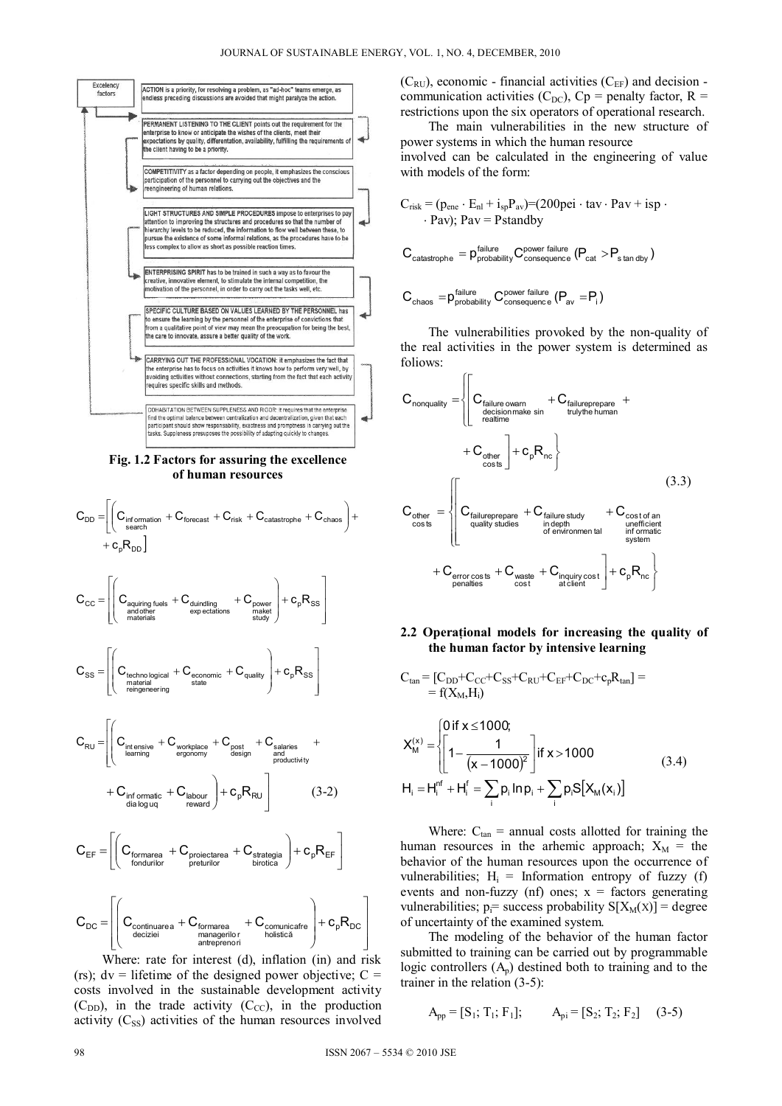

Fig. 1.2 Factors for assuring the excellence of human resources

$$
C_{DD} = \left[ \left( C_{\text{information}} + C_{\text{forecast}} + C_{\text{risk}} + C_{\text{catastrophe}} + C_{\text{chaos}} \right) + \right.
$$
  
+ 
$$
C_{\text{e}} R_{\text{DD}} \right]
$$

$$
C_{\mathrm{CC}} = \left[\left(C_{\substack{\text{aquiring fuels} \\ \text{and other}}} + C_{\substack{\text{duindling} \\ \text{exp excitations}}} + C_{\substack{\text{power} \\ \text{subsetity}}} \right) + c_{\mathrm{p}} R_{\mathrm{SS}} \right]
$$

$$
C_{\text{SS}} = \left( C_{\text{technological} \atop \text{reficiency} \atop \text{refigenering}} + C_{\text{economic}} + C_{\text{quality}} \right) + c_{\text{p}} R_{\text{SS}}
$$

$$
C_{\text{RU}} = \left[ \left( C_{\substack{\text{intensive} \\ \text{learning}}} + C_{\substack{\text{workplace} \\ \text{ergonomy}}} + C_{\substack{\text{post} \\ \text{design}}} + C_{\substack{\text{salaries} \\ \text{and} \\ \text{productivity}}} + C_{\substack{\text{salaries} \\ \text{and} \\ \text{productivity}}} \right) \right]
$$
  
+ 
$$
C_{\substack{\text{inf of magnetic} \\ \text{diag } \text{ug}}} + C_{\substack{\text{kalaries} \\ \text{equation}}} \left( 3 - 2 \right)
$$

$$
C_{\text{EF}} = \!\!\!\!\!\!\left[\!\!\left(\boldsymbol{C}_{\substack{\text{formarea} \\ \text{fondurilor}}} + \boldsymbol{C}_{\substack{\text{projectarea} \\ \text{pretrilor}}} + \boldsymbol{C}_{\substack{\text{strategia} \\ \text{birotica}}}\right)\!\!+\boldsymbol{c}_{\mathsf{p}}\boldsymbol{R}_{\text{EF}}\right]
$$

$$
C_{\text{DC}} = \left[\left(C_{\substack{\text{continuous}\\ \text{decizei}}} + C_{\substack{\text{formarea}\\ \text{anteprenori}}} + C_{\substack{\text{commicate}\\ \text{holisticA}}} \right) + c_{\text{p}} R_{\text{DC}}\right]
$$

Where: rate for interest (d), inflation (in) and risk (rs);  $dv =$  lifetime of the designed power objective;  $C =$ costs involved in the sustainable development activity  $(C_{DD})$ , in the trade activity  $(C_{CC})$ , in the production activity  $(C_{SS})$  activities of the human resources involved  $(C_{RU})$ , economic - financial activities  $(C_{EF})$  and decision communication activities (C<sub>DC</sub>), Cp = penalty factor, R = restrictions upon the six operators of operational research.

The main vulnerabilities in the new structure of power systems in which the human resource involved can be calculated in the engineering of value with models of the form:

$$
C_{risk} = (p_{ene} \cdot E_{nl} + i_{sp}P_{av}) = (200\text{pei} \cdot \text{tav} \cdot \text{Pav} + \text{isp} \cdot \text{Pav})
$$
\n
$$
\cdot \text{Pav} \cdot \text{Pav} = \text{Pstandby}
$$

$$
\text{C}_{\text{catastrophic}} = \text{p}_{\text{probability}}^{\text{failure}} \text{C}_{\text{consequence}}^{\text{power failure}} \text{ (P}_{\text{cat}} > P_{\text{stan dby}})
$$

$$
C_{\text{chaos}} = p_{\text{probability}}^{\text{failure}} C_{\text{consequence}}^{\text{power failure}} (P_{\text{av}} = P_{\text{i}})
$$

The vulnerabilities provoked by the non-quality of the real activities in the power system is determined as foliows:

$$
C_{nonquality} = \n\begin{cases}\nC_{\text{failure own}} & + C_{\text{failureprepare}} + \n\begin{cases}\n\text{C}_{\text{failure volume}} & + C_{\text{failureprepare}} & + \n\end{cases}\n\end{cases}
$$
\n
$$
C_{\text{other}} = \n\begin{cases}\nC_{\text{failureprepare}} & + C_{\text{failure}} \\
C_{\text{costs}} & + C_{\text{pair}}\n\end{cases}
$$
\n
$$
C_{\text{other}} = \n\begin{cases}\nC_{\text{failureprepare}} & + C_{\text{failure study}} & + C_{\text{cost of an unefficient of the number of environment and } \n\end{cases}
$$
\n
$$
+ C_{\text{error costs}} + C_{\text{waste}} + C_{\text{inquality cost}} \n\begin{cases}\n1.33 \\
-6\n\end{cases}
$$
\n
$$
+ C_{\text{error costs}} + C_{\text{waste}} + C_{\text{inquality cost}} \n\begin{cases}\n1.43 \\
-6\n\end{cases}
$$

#### 2.2 Operational models for increasing the quality of the human factor by intensive learning

$$
C_{tan} = [C_{DD} + C_{CC} + C_{SS} + C_{RU} + C_{EF} + C_{DC} + c_p K_{tan}] =
$$
  
\n
$$
K_M^{(x)} = \begin{cases} 0 \text{ if } x \le 1000; \\ 1 - \frac{1}{(x - 1000)^2} \end{cases} \text{ if } x > 1000
$$
  
\n
$$
H_i = H_i^{nf} + H_i^f = \sum_i p_i \ln p_i + \sum_i p_i S[X_M(x_i)]
$$
\n(3.4)

Where:  $C_{tan}$  = annual costs allotted for training the human resources in the arhemic approach;  $X_M$  = the behavior of the human resources upon the occurrence of vulnerabilities;  $H_i$  = Information entropy of fuzzy (f) events and non-fuzzy (nf) ones;  $x =$  factors generating vulnerabilities;  $p_i$ = success probability S[X<sub>M</sub>(x)] = degree of uncertainty of the examined system.

The modeling of the behavior of the human factor submitted to training can be carried out by programmable logic controllers  $(A_p)$  destined both to training and to the trainer in the relation  $(3-5)$ :

$$
A_{pp} = [S_1; T_1; F_1]; \qquad A_{pi} = [S_2; T_2; F_2] \qquad (3-5)
$$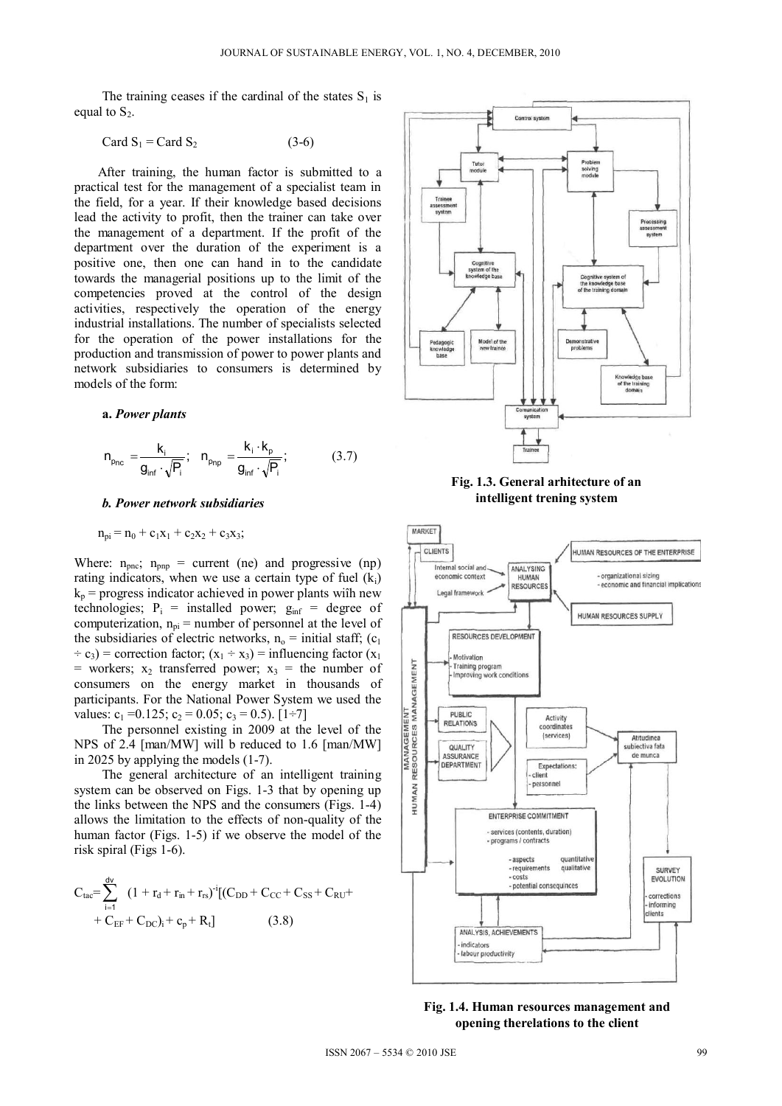The training ceases if the cardinal of the states  $S_1$  is equal to  $S_2$ .

$$
Card S_1 = Card S_2 \tag{3-6}
$$

After training, the human factor is submitted to a practical test for the management of a specialist team in the field, for a year. If their knowledge based decisions lead the activity to profit, then the trainer can take over the management of a department. If the profit of the department over the duration of the experiment is a positive one, then one can hand in to the candidate towards the managerial positions up to the limit of the competencies proved at the control of the design activities, respectively the operation of the energy industrial installations. The number of specialists selected for the operation of the power installations for the production and transmission of power to power plants and network subsidiaries to consumers is determined by models of the form:

#### **a.** *Power plants*

$$
n_{p_{nc}} = \frac{k_i}{g_{inf} \cdot \sqrt{P_i}}; \quad n_{p_{np}} = \frac{k_i \cdot k_p}{g_{inf} \cdot \sqrt{P_i}}; \tag{3.7}
$$

#### *b. Power network subsidiaries*

#### $n_{\text{pi}} = n_0 + c_1x_1 + c_2x_2 + c_3x_3;$

Where:  $n_{\text{pnc}}$ ;  $n_{\text{pnp}}$  = current (ne) and progressive (np) rating indicators, when we use a certain type of fuel  $(k<sub>i</sub>)$  $k_p$  = progress indicator achieved in power plants with new technologies;  $P_i$  = installed power;  $g_{inf}$  = degree of computerization,  $n_{pi}$  = number of personnel at the level of the subsidiaries of electric networks,  $n_0$  = initial staff; (c<sub>1</sub>  $\div c_3$ ) = correction factor; (x<sub>1</sub>  $\div$  x<sub>3</sub>) = influencing factor (x<sub>1</sub>) = workers;  $x_2$  transferred power;  $x_3$  = the number of consumers on the energy market in thousands of participants. For the National Power System we used the values:  $c_1 = 0.125$ ;  $c_2 = 0.05$ ;  $c_3 = 0.5$ ). [1÷7]

The personnel existing in 2009 at the level of the NPS of 2.4 [man/MW] will b reduced to 1.6 [man/MW] in 2025 by applying the models (1-7).

The general architecture of an intelligent training system can be observed on Figs. 1-3 that by opening up the links between the NPS and the consumers (Figs. 1-4) allows the limitation to the effects of non-quality of the human factor (Figs. 1-5) if we observe the model of the risk spiral (Figs 1-6).

$$
C_{tac} = \sum_{i=1}^{dv} (1 + r_d + r_{in} + r_{rs})^{-i} [(C_{DD} + C_{CC} + C_{SS} + C_{RU} + C_{EF} + C_{DC})_i + c_p + R_t]
$$
\n(3.8)



**Fig. 1.3. General arhitecture of an intelligent trening system** 



**Fig. 1.4. Human resources management and opening therelations to the client**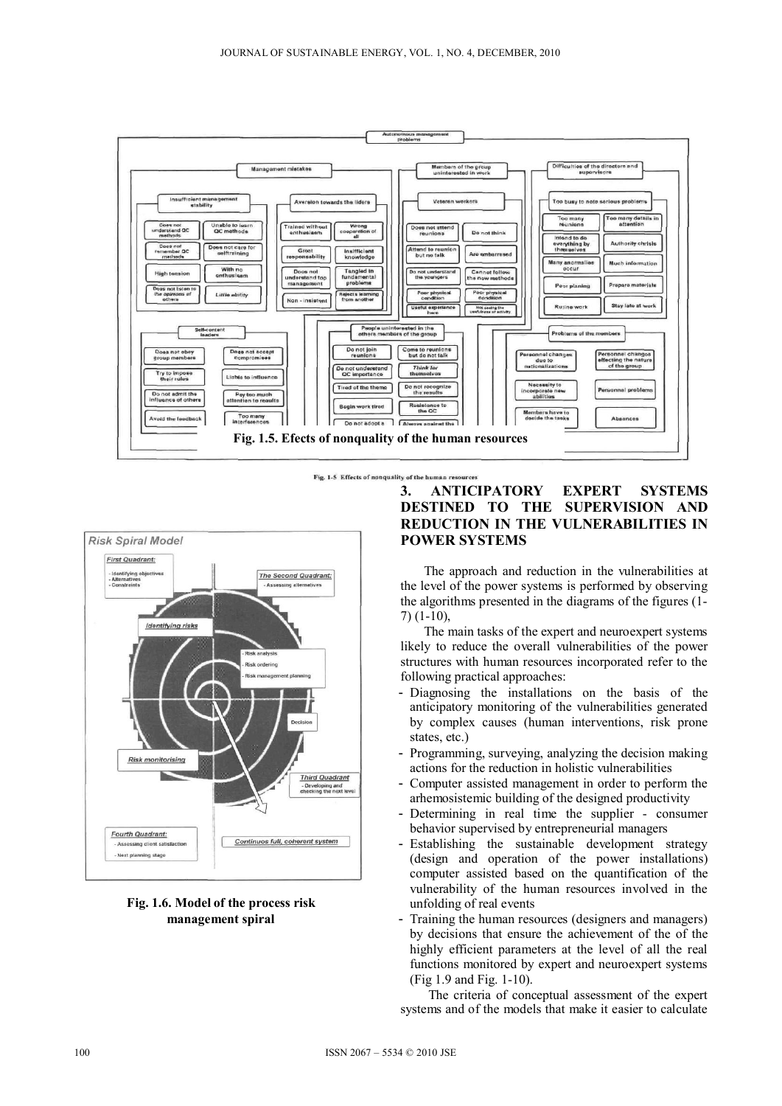

Fig. 1-5 Effects of nonquality of the human resources



## **Fig. 1.6. Model of the process risk management spiral**

## **3. ANTICIPATORY EXPERT SYSTEMS DESTINED TO THE SUPERVISION AND REDUCTION IN THE VULNERABILITIES IN POWER SYSTEMS**

The approach and reduction in the vulnerabilities at the level of the power systems is performed by observing the algorithms presented in the diagrams of the figures (1- 7) (1-10),

The main tasks of the expert and neuroexpert systems likely to reduce the overall vulnerabilities of the power structures with human resources incorporated refer to the following practical approaches:

- Diagnosing the installations on the basis of the anticipatory monitoring of the vulnerabilities generated by complex causes (human interventions, risk prone states, etc.)
- Programming, surveying, analyzing the decision making actions for the reduction in holistic vulnerabilities
- Computer assisted management in order to perform the arhemosistemic building of the designed productivity
- Determining in real time the supplier consumer behavior supervised by entrepreneurial managers
- Establishing the sustainable development strategy (design and operation of the power installations) computer assisted based on the quantification of the vulnerability of the human resources involved in the unfolding of real events
- Training the human resources (designers and managers) by decisions that ensure the achievement of the of the highly efficient parameters at the level of all the real functions monitored by expert and neuroexpert systems (Fig 1.9 and Fig. 1-10).

The criteria of conceptual assessment of the expert systems and of the models that make it easier to calculate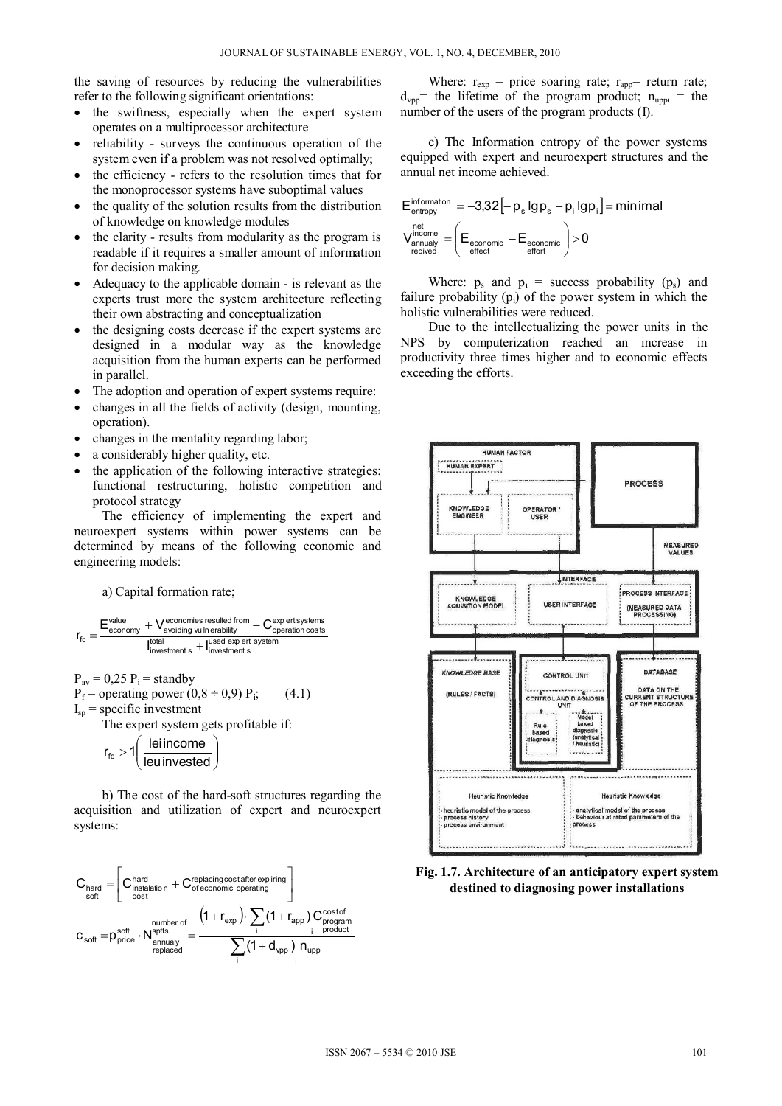the saving of resources by reducing the vulnerabilities refer to the following significant orientations:

- the swiftness, especially when the expert system  $\bullet$ operates on a multiprocessor architecture
- reliability surveys the continuous operation of the system even if a problem was not resolved optimally;
- the efficiency refers to the resolution times that for the monoprocessor systems have suboptimal values
- the quality of the solution results from the distribution of knowledge on knowledge modules
- the clarity results from modularity as the program is readable if it requires a smaller amount of information for decision making.
- Adequacy to the applicable domain is relevant as the experts trust more the system architecture reflecting their own abstracting and conceptualization
- the designing costs decrease if the expert systems are designed in a modular way as the knowledge acquisition from the human experts can be performed in parallel.
- The adoption and operation of expert systems require:
- changes in all the fields of activity (design, mounting, operation).
- changes in the mentality regarding labor;
- a considerably higher quality, etc.
- the application of the following interactive strategies: functional restructuring, holistic competition and protocol strategy

The efficiency of implementing the expert and neuroexpert systems within power systems can be determined by means of the following economic and engineering models:

a) Capital formation rate;

$$
r_{\text{fc}} = \frac{E_{\text{economy}}^{\text{value}} + V_{\text{avoiding}}^{\text{economics resulted from}} - C_{\text{operation costs}}^{\text{exp ertsystems}}}{I_{\text{investment s}}^{\text{total}} + I_{\text{investment s}}^{\text{used exp erf system}}}
$$

$$
P_{\text{av}} = 0.25 \ P_{\text{i}} = \text{standby}
$$

 $P_f$  = operating power (0,8 ÷ 0,9)  $P_i$ ;  $I_{sp}$  = specific investment

The expert system gets profitable if:

$$
r_{fc} > 1 \left( \frac{\text{leinicome}}{\text{leunvested}} \right)
$$

b) The cost of the hard-soft structures regarding the acquisition and utilization of expert and neuroexpert systems:

 $(4.1)$ 

$$
C_{\text{hard}} = \begin{bmatrix} C_{\text{instation}}^{\text{hard}} + C_{\text{of economic operating}}^{\text{replacing cost after expiring}}\\ \text{cost} \end{bmatrix}\\ C_{\text{soft}} = p_{\text{price}}^{\text{soft}} \cdot N_{\text{annuay}}^{\text{split}} = \frac{\left(1 + r_{\text{exp}}\right) \cdot \sum_{i} \left(1 + r_{\text{app}}\right) C_{\text{program}}^{\text{cost of}}}{\sum_{i} \left(1 + d_{\text{vpp}}\right) n_{\text{uppi}}}
$$

Where:  $r_{exp}$  = price soaring rate;  $r_{app}$  = return rate;  $d_{vpp}$  the lifetime of the program product;  $n_{uppi}$  = the number of the users of the program products (I).

c) The Information entropy of the power systems equipped with expert and neuroexpert structures and the annual net income achieved.

$$
\begin{array}{l} E_{\text{entropy}}^{\text{information}}=-3.32\left[-\,p_{s}\,lg\,p_{s}-p_{i}\,lg\,p_{i}\right]=\text{minimal} \\ V_{\text{annually}}^{\text{inc}}=\left(E_{\text{economic}}-E_{\text{economic}}\right)>0 \\ \text{reieved} \end{array}
$$

Where:  $p_s$  and  $p_i$  = success probability ( $p_s$ ) and failure probability  $(p_i)$  of the power system in which the holistic vulnerabilities were reduced.

Due to the intellectualizing the power units in the NPS by computerization reached an increase in productivity three times higher and to economic effects exceeding the efforts.



Fig. 1.7. Architecture of an anticipatory expert system destined to diagnosing power installations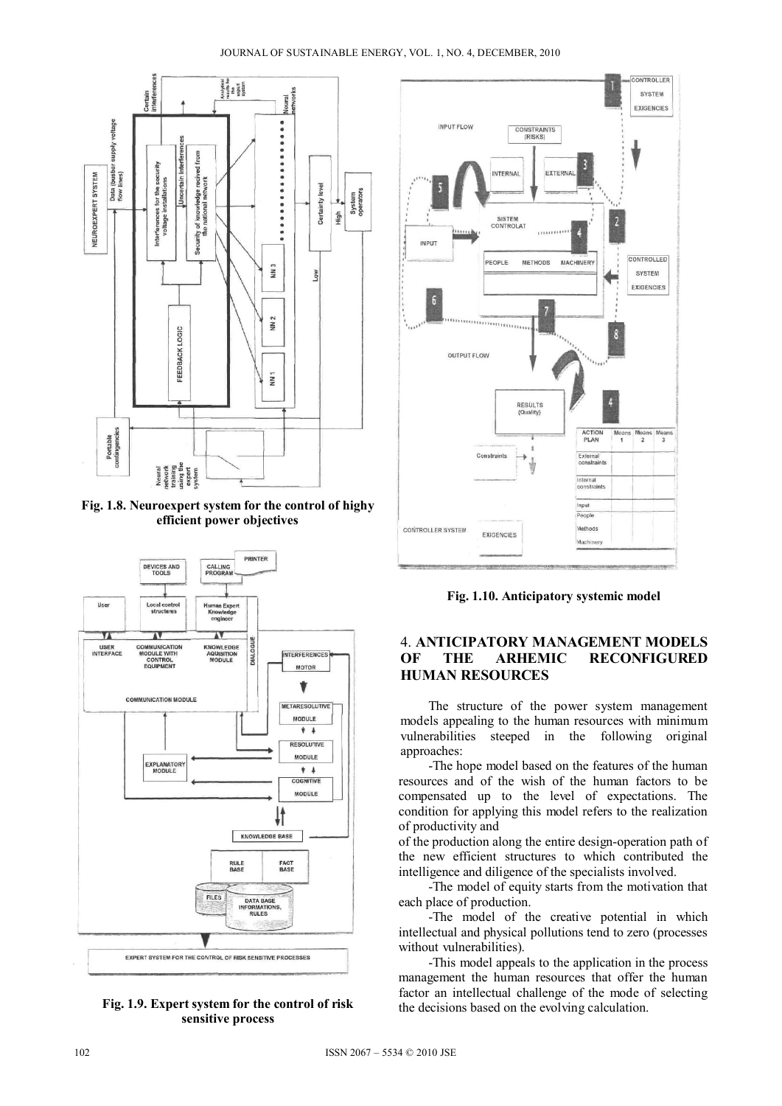

**Fig. 1.8. Neuroexpert system for the control of highy efficient power objectives** 



**Fig. 1.9. Expert system for the control of risk sensitive process** 



**Fig. 1.10. Anticipatory systemic model** 

## 4. **ANTICIPATORY MANAGEMENT MODELS RECONFIGURED HUMAN RESOURCES**

The structure of the power system management models appealing to the human resources with minimum vulnerabilities steeped in the following original approaches:

 -The hope model based on the features of the human resources and of the wish of the human factors to be compensated up to the level of expectations. The condition for applying this model refers to the realization of productivity and

of the production along the entire design-operation path of the new efficient structures to which contributed the intelligence and diligence of the specialists involved.

 -The model of equity starts from the motivation that each place of production.

 -The model of the creative potential in which intellectual and physical pollutions tend to zero (processes without vulnerabilities).

 -This model appeals to the application in the process management the human resources that offer the human factor an intellectual challenge of the mode of selecting the decisions based on the evolving calculation.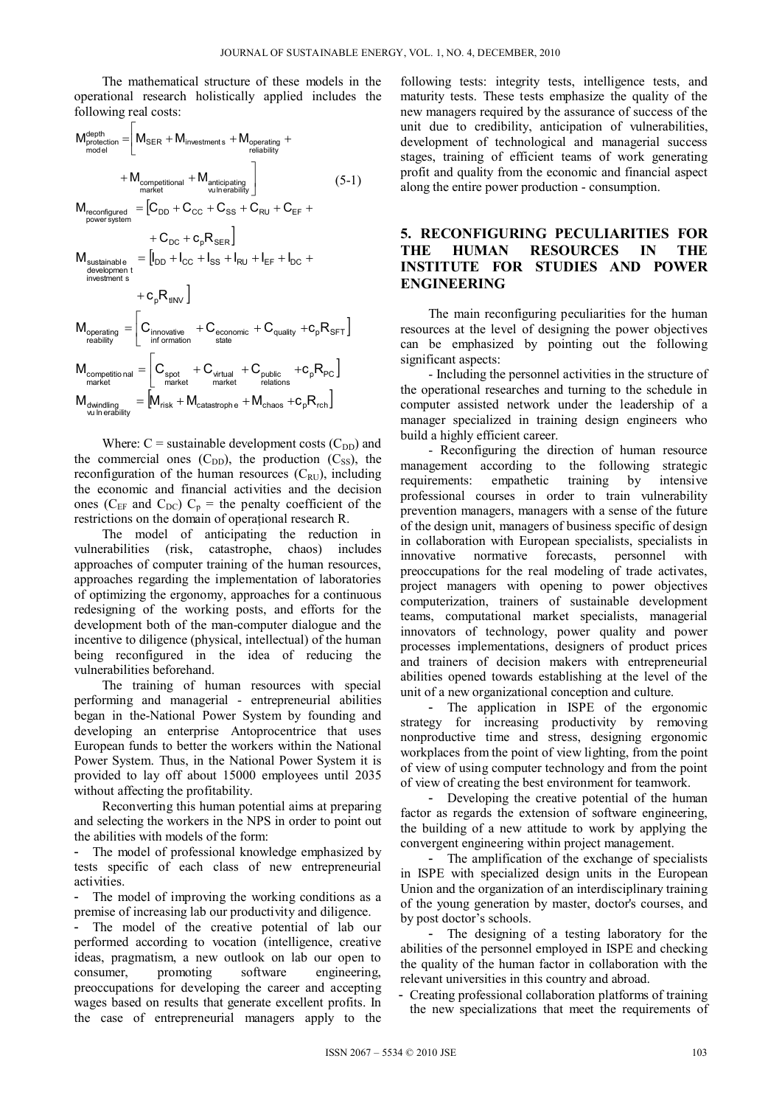The mathematical structure of these models in the operational research holistically applied includes the following real costs:

$$
M_{\text{protection}}^{\text{depth}} = \n\begin{bmatrix}\nM_{\text{SER}} + M_{\text{investments}} + M_{\text{operating}} +\n\end{bmatrix}\n+ M_{\text{constrained}} + M_{\text{interability}}\n+ M_{\text{nonpertitional}} + M_{\text{anticipating}}\n\end{bmatrix}\n\tag{5-1}
$$
\n
$$
M_{\text{reconfigurational}} = \left[ C_{\text{DD}} + C_{\text{CC}} + C_{\text{SS}} + C_{\text{RU}} + C_{\text{EF}} + \n+ C_{\text{DC}} + C_{\text{pN-}} + C_{\text{DC}} + C_{\text{R-}} + \n+ C_{\text{DC}} + C_{\text{R-}} + C_{\text{N-}} + C_{\text{N-}} + C_{\text{N-}} + C_{\text{N-}} + C_{\text{N-}} + C_{\text{N-}} + C_{\text{N-}} + C_{\text{N-}} + C_{\text{N-}} + C_{\text{N-}} + C_{\text{N-}} + C_{\text{N-}} + C_{\text{N-}} + C_{\text{N-}} + C_{\text{N-}} + C_{\text{N-}} + C_{\text{N-}} + C_{\text{N-}} + C_{\text{N-}} + C_{\text{N-}} + C_{\text{N-}} + C_{\text{N-}} + C_{\text{N-}} + C_{\text{N-}} + C_{\text{N-}} + C_{\text{N-}} + C_{\text{N-}} + C_{\text{N-}} + C_{\text{N-}} + C_{\text{N-}} + C_{\text{N-}} + C_{\text{N-}} + C_{\text{N-}} + C_{\text{N-}} + C_{\text{N-}} + C_{\text{N-}} + C_{\text{N-}} + C_{\text{N-}} + C_{\text{N-}} + C_{\text{N-}} + C_{\text{N-}} + C_{\text{N-}} + C_{\text{N-}} + C_{\text{N-}} + C_{\text{N-}} + C_{\text{N-}} + C_{\text{N-}} + C_{\text{N-}} + C_{\text{N-}} + C_{\text{N-}} + C_{\text{N-}} + C_{\text{N-}} + C_{\text{N-}} + C_{\text{N-}} + C_{\text{N-}} + C_{\text{N-}} + C_{\text{N-}} + C_{\text{N-}} + C
$$

Where:  $C =$  sustainable development costs  $(C_{DD})$  and the commercial ones  $(C_{DD})$ , the production  $(C_{SS})$ , the reconfiguration of the human resources  $(C_{RU})$ , including the economic and financial activities and the decision ones ( $C_{EF}$  and  $C_{DC}$ )  $C_p$  = the penalty coefficient of the restrictions on the domain of operaţional research R.

The model of anticipating the reduction in vulnerabilities (risk, catastrophe, chaos) includes approaches of computer training of the human resources, approaches regarding the implementation of laboratories of optimizing the ergonomy, approaches for a continuous redesigning of the working posts, and efforts for the development both of the man-computer dialogue and the incentive to diligence (physical, intellectual) of the human being reconfigured in the idea of reducing the vulnerabilities beforehand.

The training of human resources with special performing and managerial - entrepreneurial abilities began in the-National Power System by founding and developing an enterprise Antoprocentrice that uses European funds to better the workers within the National Power System. Thus, in the National Power System it is provided to lay off about 15000 employees until 2035 without affecting the profitability.

Reconverting this human potential aims at preparing and selecting the workers in the NPS in order to point out the abilities with models of the form:

The model of professional knowledge emphasized by tests specific of each class of new entrepreneurial activities.

The model of improving the working conditions as a premise of increasing lab our productivity and diligence.

The model of the creative potential of lab our performed according to vocation (intelligence, creative ideas, pragmatism, a new outlook on lab our open to consumer, promoting software engineering, preoccupations for developing the career and accepting wages based on results that generate excellent profits. In the case of entrepreneurial managers apply to the following tests: integrity tests, intelligence tests, and maturity tests. These tests emphasize the quality of the new managers required by the assurance of success of the unit due to credibility, anticipation of vulnerabilities, development of technological and managerial success stages, training of efficient teams of work generating profit and quality from the economic and financial aspect along the entire power production - consumption.

## **5. RECONFIGURING PECULIARITIES FOR THE HUMAN RESOURCES IN THE INSTITUTE FOR STUDIES AND POWER ENGINEERING**

The main reconfiguring peculiarities for the human resources at the level of designing the power objectives can be emphasized by pointing out the following significant aspects:

- Including the personnel activities in the structure of the operational researches and turning to the schedule in computer assisted network under the leadership of a manager specialized in training design engineers who build a highly efficient career.

- Reconfiguring the direction of human resource management according to the following strategic requirements: empathetic training by intensive professional courses in order to train vulnerability prevention managers, managers with a sense of the future of the design unit, managers of business specific of design in collaboration with European specialists, specialists in innovative normative forecasts, personnel with preoccupations for the real modeling of trade activates, project managers with opening to power objectives computerization, trainers of sustainable development teams, computational market specialists, managerial innovators of technology, power quality and power processes implementations, designers of product prices and trainers of decision makers with entrepreneurial abilities opened towards establishing at the level of the unit of a new organizational conception and culture.

- The application in ISPE of the ergonomic strategy for increasing productivity by removing nonproductive time and stress, designing ergonomic workplaces from the point of view lighting, from the point of view of using computer technology and from the point of view of creating the best environment for teamwork.

- Developing the creative potential of the human factor as regards the extension of software engineering, the building of a new attitude to work by applying the convergent engineering within project management.

The amplification of the exchange of specialists in ISPE with specialized design units in the European Union and the organization of an interdisciplinary training of the young generation by master, doctor's courses, and by post doctor's schools.

- The designing of a testing laboratory for the abilities of the personnel employed in ISPE and checking the quality of the human factor in collaboration with the relevant universities in this country and abroad.

- Creating professional collaboration platforms of training the new specializations that meet the requirements of